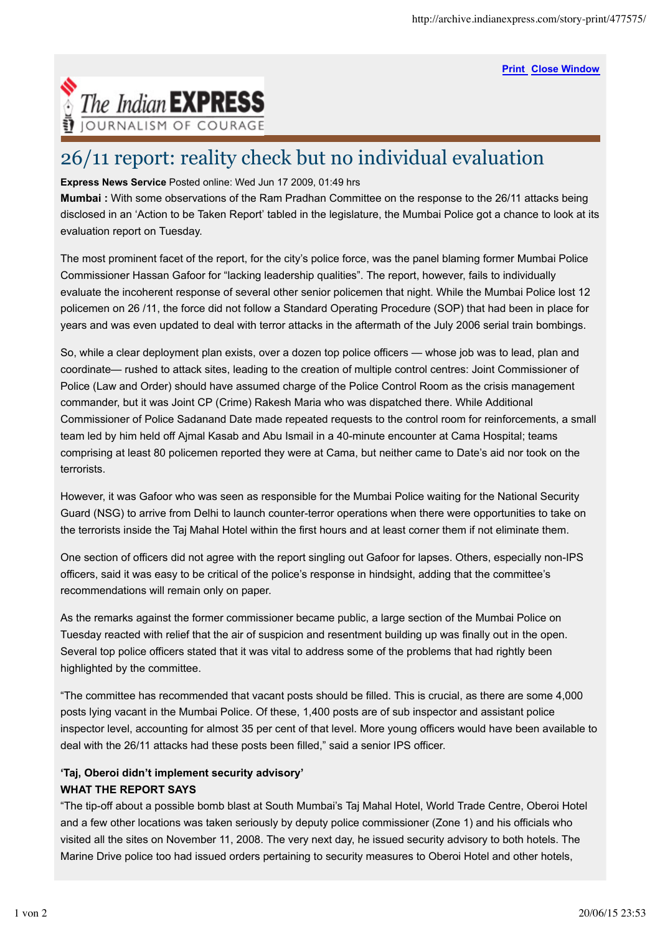**Print Close Window**



## 26/11 report: reality check but no individual evaluation

**Express News Service** Posted online: Wed Jun 17 2009, 01:49 hrs

**Mumbai :** With some observations of the Ram Pradhan Committee on the response to the 26/11 attacks being disclosed in an 'Action to be Taken Report' tabled in the legislature, the Mumbai Police got a chance to look at its evaluation report on Tuesday.

The most prominent facet of the report, for the city's police force, was the panel blaming former Mumbai Police Commissioner Hassan Gafoor for "lacking leadership qualities". The report, however, fails to individually evaluate the incoherent response of several other senior policemen that night. While the Mumbai Police lost 12 policemen on 26 /11, the force did not follow a Standard Operating Procedure (SOP) that had been in place for years and was even updated to deal with terror attacks in the aftermath of the July 2006 serial train bombings.

So, while a clear deployment plan exists, over a dozen top police officers — whose job was to lead, plan and coordinate— rushed to attack sites, leading to the creation of multiple control centres: Joint Commissioner of Police (Law and Order) should have assumed charge of the Police Control Room as the crisis management commander, but it was Joint CP (Crime) Rakesh Maria who was dispatched there. While Additional Commissioner of Police Sadanand Date made repeated requests to the control room for reinforcements, a small team led by him held off Ajmal Kasab and Abu Ismail in a 40-minute encounter at Cama Hospital; teams comprising at least 80 policemen reported they were at Cama, but neither came to Date's aid nor took on the terrorists.

However, it was Gafoor who was seen as responsible for the Mumbai Police waiting for the National Security Guard (NSG) to arrive from Delhi to launch counter-terror operations when there were opportunities to take on the terrorists inside the Taj Mahal Hotel within the first hours and at least corner them if not eliminate them.

One section of officers did not agree with the report singling out Gafoor for lapses. Others, especially non-IPS officers, said it was easy to be critical of the police's response in hindsight, adding that the committee's recommendations will remain only on paper.

As the remarks against the former commissioner became public, a large section of the Mumbai Police on Tuesday reacted with relief that the air of suspicion and resentment building up was finally out in the open. Several top police officers stated that it was vital to address some of the problems that had rightly been highlighted by the committee.

"The committee has recommended that vacant posts should be filled. This is crucial, as there are some 4,000 posts lying vacant in the Mumbai Police. Of these, 1,400 posts are of sub inspector and assistant police inspector level, accounting for almost 35 per cent of that level. More young officers would have been available to deal with the 26/11 attacks had these posts been filled," said a senior IPS officer.

## **'Taj, Oberoi didn't implement security advisory' WHAT THE REPORT SAYS**

"The tip-off about a possible bomb blast at South Mumbai's Taj Mahal Hotel, World Trade Centre, Oberoi Hotel and a few other locations was taken seriously by deputy police commissioner (Zone 1) and his officials who visited all the sites on November 11, 2008. The very next day, he issued security advisory to both hotels. The Marine Drive police too had issued orders pertaining to security measures to Oberoi Hotel and other hotels,